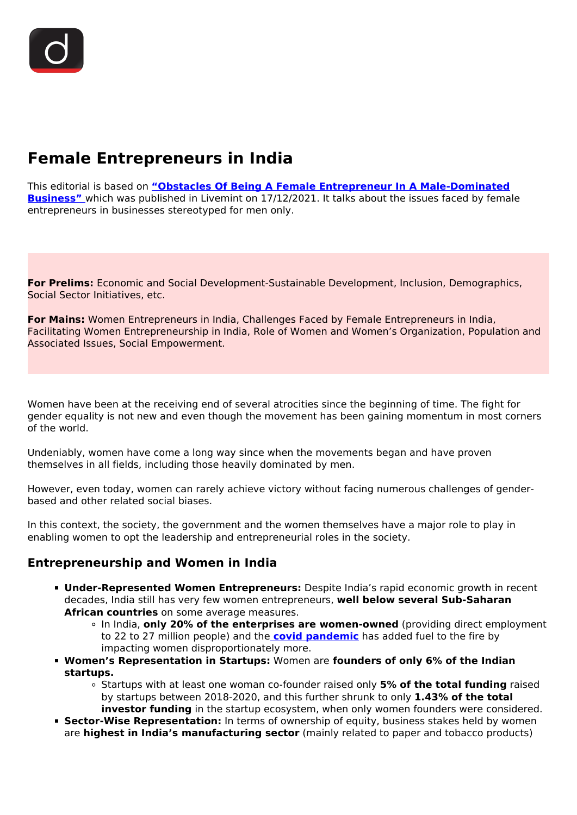# **Female Entrepreneurs in India**

This editorial is based on **["Obstacles Of Being A Female Entrepreneur In A Male-Dominated](https://www.livemint.com/opinion/online-views/obstacles-of-being-a-female-entrepreneur-in-a-male-dominated-business-11639673616674.html) [Business"](https://www.livemint.com/opinion/online-views/obstacles-of-being-a-female-entrepreneur-in-a-male-dominated-business-11639673616674.html)** which was published in Livemint on 17/12/2021. It talks about the issues faced by female entrepreneurs in businesses stereotyped for men only.

**For Prelims:** Economic and Social Development-Sustainable Development, Inclusion, Demographics, Social Sector Initiatives, etc.

**For Mains:** Women Entrepreneurs in India, Challenges Faced by Female Entrepreneurs in India, Facilitating Women Entrepreneurship in India, Role of Women and Women's Organization, Population and Associated Issues, Social Empowerment.

Women have been at the receiving end of several atrocities since the beginning of time. The fight for gender equality is not new and even though the movement has been gaining momentum in most corners of the world.

Undeniably, women have come a long way since when the movements began and have proven themselves in all fields, including those heavily dominated by men.

However, even today, women can rarely achieve victory without facing numerous challenges of genderbased and other related social biases.

In this context, the society, the government and the women themselves have a major role to play in enabling women to opt the leadership and entrepreneurial roles in the society.

#### **Entrepreneurship and Women in India**

- **Under-Represented Women Entrepreneurs:** Despite India's rapid economic growth in recent decades, India still has very few women entrepreneurs, **well below several Sub-Saharan African countries** on some average measures.
	- In India, **only 20% of the enterprises are women-owned** (providing direct employment to 22 to 27 million people) and the **[covid pandemic](/loksabha-rajyasabha-discussions/the-big-picture-india-s-covid-pandemic-management)** has added fuel to the fire by impacting women disproportionately more.
- **Women's Representation in Startups:** Women are **founders of only 6% of the Indian startups.**
	- Startups with at least one woman co-founder raised only **5% of the total funding** raised by startups between 2018-2020, and this further shrunk to only **1.43% of the total investor funding** in the startup ecosystem, when only women founders were considered.
- **Sector-Wise Representation:** In terms of ownership of equity, business stakes held by women are **highest in India's manufacturing sector** (mainly related to paper and tobacco products)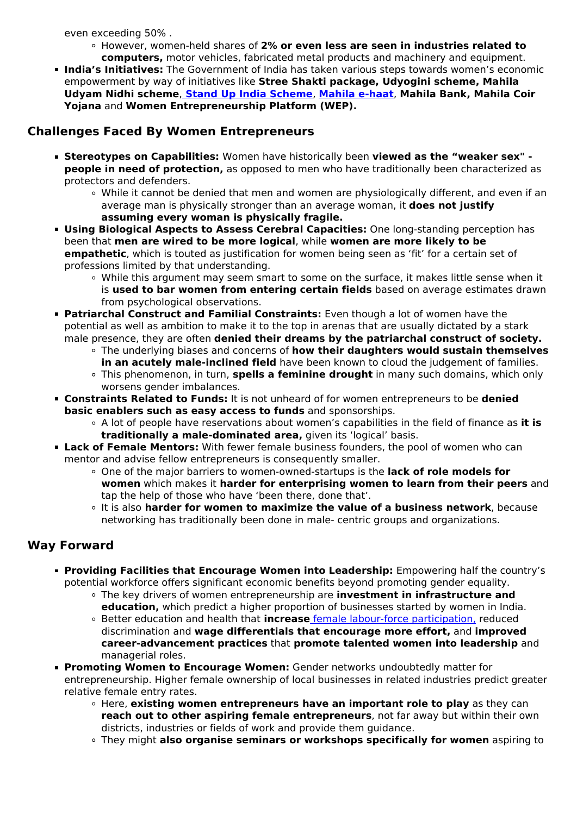even exceeding 50% .

- However, women-held shares of **2% or even less are seen in industries related to computers,** motor vehicles, fabricated metal products and machinery and equipment.
- **India's Initiatives:** The Government of India has taken various steps towards women's economic empowerment by way of initiatives like **Stree Shakti package, Udyogini scheme, Mahila Udyam Nidhi scheme**, **[Stand Up India Scheme](/daily-updates/daily-news-analysis/stand-up-india-scheme/print_manually)**, **[Mahila e-haat](/daily-updates/daily-news-editorials/what-stops-rural-women-from-getting-involved-in-entrepreneurship)**, **Mahila Bank, Mahila Coir Yojana** and **Women Entrepreneurship Platform (WEP).**

## **Challenges Faced By Women Entrepreneurs**

- **Stereotypes on Capabilities:** Women have historically been **viewed as the "weaker sex" people in need of protection,** as opposed to men who have traditionally been characterized as protectors and defenders.
	- While it cannot be denied that men and women are physiologically different, and even if an average man is physically stronger than an average woman, it **does not justify assuming every woman is physically fragile.**
- **Using Biological Aspects to Assess Cerebral Capacities:** One long-standing perception has been that **men are wired to be more logical**, while **women are more likely to be empathetic**, which is touted as justification for women being seen as 'fit' for a certain set of professions limited by that understanding.
	- While this argument may seem smart to some on the surface, it makes little sense when it is **used to bar women from entering certain fields** based on average estimates drawn from psychological observations.
- **Patriarchal Construct and Familial Constraints:** Even though a lot of women have the potential as well as ambition to make it to the top in arenas that are usually dictated by a stark male presence, they are often **denied their dreams by the patriarchal construct of society.**
	- The underlying biases and concerns of **how their daughters would sustain themselves in an acutely male-inclined field** have been known to cloud the judgement of families.
	- This phenomenon, in turn, **spells a feminine drought** in many such domains, which only worsens gender imbalances.
- **Constraints Related to Funds:** It is not unheard of for women entrepreneurs to be **denied basic enablers such as easy access to funds** and sponsorships.
	- A lot of people have reservations about women's capabilities in the field of finance as **it is traditionally a male-dominated area,** given its 'logical' basis.
- **Lack of Female Mentors:** With fewer female business founders, the pool of women who can mentor and advise fellow entrepreneurs is consequently smaller.
	- One of the major barriers to women-owned-startups is the **lack of role models for women** which makes it **harder for enterprising women to learn from their peers** and tap the help of those who have 'been there, done that'.
	- It is also **harder for women to maximize the value of a business network**, because networking has traditionally been done in male- centric groups and organizations.

### **Way Forward**

- **Providing Facilities that Encourage Women into Leadership:** Empowering half the country's potential workforce offers significant economic benefits beyond promoting gender equality.
	- The key drivers of women entrepreneurship are **investment in infrastructure and education,** which predict a higher proportion of businesses started by women in India.
	- Better education and health that **increase** [female labour-force participation,](/daily-updates/daily-news-editorials/female-labor-force-participation-in-india) reduced discrimination and **wage differentials that encourage more effort,** and **improved career-advancement practices** that **promote talented women into leadership** and managerial roles.
- **Promoting Women to Encourage Women:** Gender networks undoubtedly matter for entrepreneurship. Higher female ownership of local businesses in related industries predict greater relative female entry rates.
	- Here, **existing women entrepreneurs have an important role to play** as they can **reach out to other aspiring female entrepreneurs**, not far away but within their own districts, industries or fields of work and provide them guidance.
	- They might **also organise seminars or workshops specifically for women** aspiring to